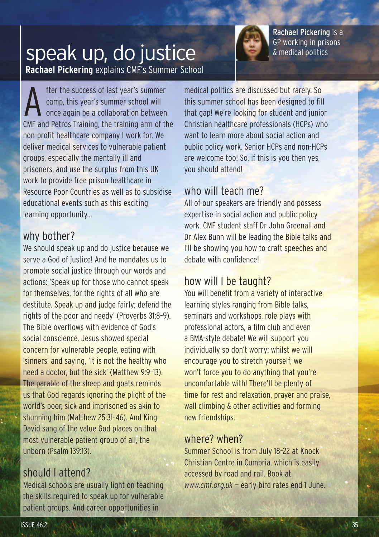

Rachael Pickering is a GP working in prisons & medical politics

## **Rachael Pickering** explains CMF's Summer School speak up, do justice

After the success of last year's summer<br>
camp, this year's summer school will<br>
once again be a collaboration between camp, this year's summer school will CMF and Petros Training, the training arm of the non-profit healthcare company I work for. We deliver medical services to vulnerable patient groups, especially the mentally ill and prisoners, and use the surplus from this UK work to provide free prison healthcare in Resource Poor Countries as well as to subsidise educational events such as this exciting learning opportunity...

#### why bother?

We should speak up and do justice because we serve a God of justice! And he mandates us to promote social justice through our words and actions: 'Speak up for those who cannot speak for themselves, for the rights of all who are destitute. Speak up and judge fairly; defend the rights of the poor and needy' (Proverbs 31:8–9). The Bible overflows with evidence of God's social conscience. Jesus showed special concern for vulnerable people, eating with 'sinners' and saying, 'It is not the healthy who need a doctor, but the sick' (Matthew 9:9–13). The parable of the sheep and goats reminds us that God regards ignoring the plight of the world's poor, sick and imprisoned as akin to shunning him (Matthew 25:31–46). And King David sang of the value God places on that most vulnerable patient group of all, the unborn (Psalm 139:13).

#### should I attend?

Medical schools are usually light on teaching the skills required to speak up for vulnerable patient groups. And career opportunities in

medical politics are discussed but rarely. So this summer school has been designed to fill that gap! We're looking for student and junior Christian healthcare professionals (HCPs) who want to learn more about social action and public policy work. Senior HCPs and non-HCPs are welcome too! So, if this is you then yes, you should attend!

## who will teach me?

All of our speakers are friendly and possess expertise in social action and public policy work. CMF student staff Dr John Greenall and Dr Alex Bunn will be leading the Bible talks and I'll be showing you how to craft speeches and debate with confidence!

### how will I be taught?

You will benefit from a variety of interactive learning styles ranging from Bible talks, seminars and workshops, role plays with professional actors, a film club and even a BMA-style debate! We will support you individually so don't worry: whilst we will encourage you to stretch yourself, we won't force you to do anything that you're uncomfortable with! There'll be plenty of time for rest and relaxation, prayer and praise, wall climbing & other activities and forming new friendships.

#### where? when?

Summer School is from July 18–22 at Knock Christian Centre in Cumbria, which is easily accessed by road and rail. Book at *www.cmf.org.uk* — early bird rates end 1 June.